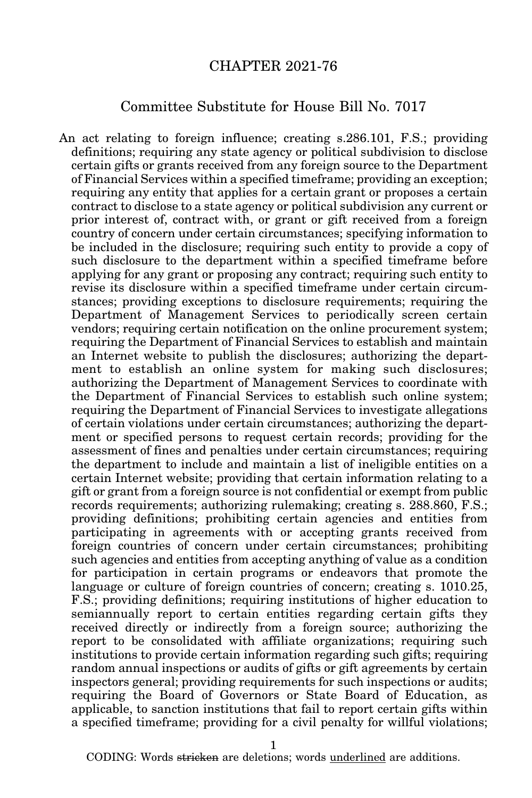## CHAPTER 2021-76

## Committee Substitute for House Bill No. 7017

An act relating to foreign influence; creating s.286.101, F.S.; providing definitions; requiring any state agency or political subdivision to disclose certain gifts or grants received from any foreign source to the Department of Financial Services within a specified timeframe; providing an exception; requiring any entity that applies for a certain grant or proposes a certain contract to disclose to a state agency or political subdivision any current or prior interest of, contract with, or grant or gift received from a foreign country of concern under certain circumstances; specifying information to be included in the disclosure; requiring such entity to provide a copy of such disclosure to the department within a specified timeframe before applying for any grant or proposing any contract; requiring such entity to revise its disclosure within a specified timeframe under certain circumstances; providing exceptions to disclosure requirements; requiring the Department of Management Services to periodically screen certain vendors; requiring certain notification on the online procurement system; requiring the Department of Financial Services to establish and maintain an Internet website to publish the disclosures; authorizing the department to establish an online system for making such disclosures; authorizing the Department of Management Services to coordinate with the Department of Financial Services to establish such online system; requiring the Department of Financial Services to investigate allegations of certain violations under certain circumstances; authorizing the department or specified persons to request certain records; providing for the assessment of fines and penalties under certain circumstances; requiring the department to include and maintain a list of ineligible entities on a certain Internet website; providing that certain information relating to a gift or grant from a foreign source is not confidential or exempt from public records requirements; authorizing rulemaking; creating s. 288.860, F.S.; providing definitions; prohibiting certain agencies and entities from participating in agreements with or accepting grants received from foreign countries of concern under certain circumstances; prohibiting such agencies and entities from accepting anything of value as a condition for participation in certain programs or endeavors that promote the language or culture of foreign countries of concern; creating s. 1010.25, F.S.; providing definitions; requiring institutions of higher education to semiannually report to certain entities regarding certain gifts they received directly or indirectly from a foreign source; authorizing the report to be consolidated with affiliate organizations; requiring such institutions to provide certain information regarding such gifts; requiring random annual inspections or audits of gifts or gift agreements by certain inspectors general; providing requirements for such inspections or audits; requiring the Board of Governors or State Board of Education, as applicable, to sanction institutions that fail to report certain gifts within a specified timeframe; providing for a civil penalty for willful violations;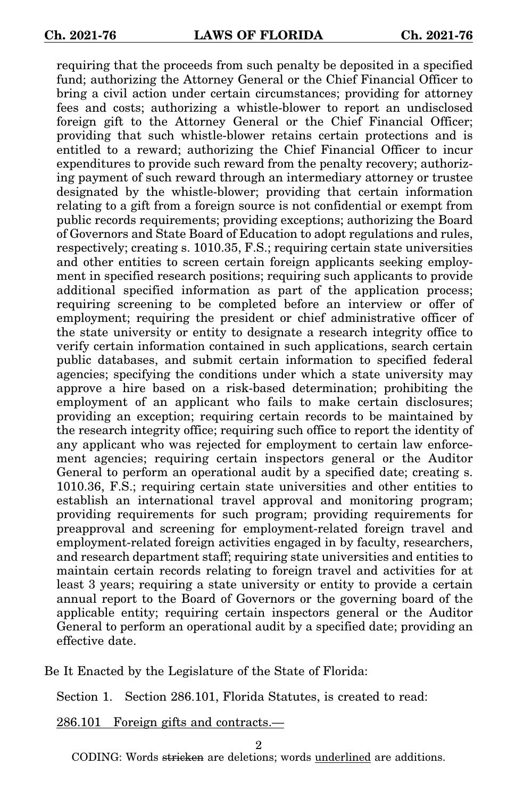requiring that the proceeds from such penalty be deposited in a specified fund; authorizing the Attorney General or the Chief Financial Officer to bring a civil action under certain circumstances; providing for attorney fees and costs; authorizing a whistle-blower to report an undisclosed foreign gift to the Attorney General or the Chief Financial Officer; providing that such whistle-blower retains certain protections and is entitled to a reward; authorizing the Chief Financial Officer to incur expenditures to provide such reward from the penalty recovery; authorizing payment of such reward through an intermediary attorney or trustee designated by the whistle-blower; providing that certain information relating to a gift from a foreign source is not confidential or exempt from public records requirements; providing exceptions; authorizing the Board of Governors and State Board of Education to adopt regulations and rules, respectively; creating s. 1010.35, F.S.; requiring certain state universities and other entities to screen certain foreign applicants seeking employment in specified research positions; requiring such applicants to provide additional specified information as part of the application process; requiring screening to be completed before an interview or offer of employment; requiring the president or chief administrative officer of the state university or entity to designate a research integrity office to verify certain information contained in such applications, search certain public databases, and submit certain information to specified federal agencies; specifying the conditions under which a state university may approve a hire based on a risk-based determination; prohibiting the employment of an applicant who fails to make certain disclosures; providing an exception; requiring certain records to be maintained by the research integrity office; requiring such office to report the identity of any applicant who was rejected for employment to certain law enforcement agencies; requiring certain inspectors general or the Auditor General to perform an operational audit by a specified date; creating s. 1010.36, F.S.; requiring certain state universities and other entities to establish an international travel approval and monitoring program; providing requirements for such program; providing requirements for preapproval and screening for employment-related foreign travel and employment-related foreign activities engaged in by faculty, researchers, and research department staff; requiring state universities and entities to maintain certain records relating to foreign travel and activities for at least 3 years; requiring a state university or entity to provide a certain annual report to the Board of Governors or the governing board of the applicable entity; requiring certain inspectors general or the Auditor General to perform an operational audit by a specified date; providing an effective date.

Be It Enacted by the Legislature of the State of Florida:

Section 1. Section 286.101, Florida Statutes, is created to read:

286.101 Foreign gifts and contracts.—

2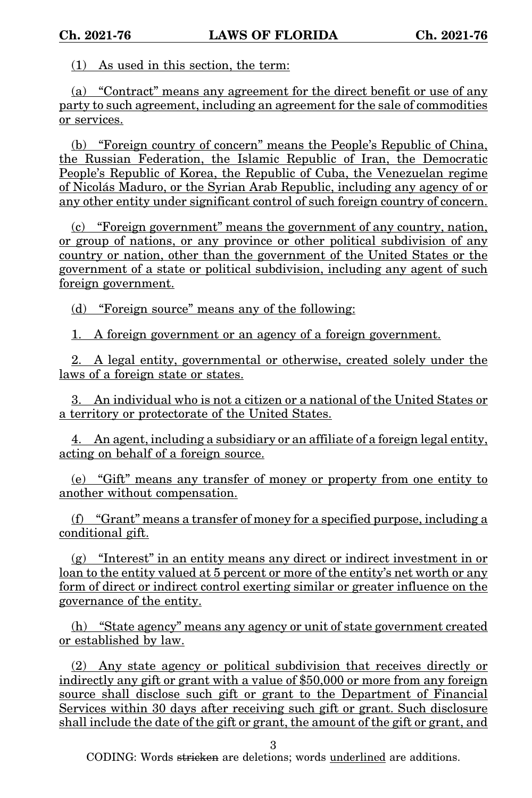(1) As used in this section, the term:

(a) "Contract" means any agreement for the direct benefit or use of any party to such agreement, including an agreement for the sale of commodities or services.

(b) "Foreign country of concern" means the People's Republic of China, the Russian Federation, the Islamic Republic of Iran, the Democratic People's Republic of Korea, the Republic of Cuba, the Venezuelan regime of Nicolás Maduro, or the Syrian Arab Republic, including any agency of or any other entity under significant control of such foreign country of concern.

(c) "Foreign government" means the government of any country, nation, or group of nations, or any province or other political subdivision of any country or nation, other than the government of the United States or the government of a state or political subdivision, including any agent of such foreign government.

(d) "Foreign source" means any of the following:

1. A foreign government or an agency of a foreign government.

2. A legal entity, governmental or otherwise, created solely under the laws of a foreign state or states.

3. An individual who is not a citizen or a national of the United States or a territory or protectorate of the United States.

4. An agent, including a subsidiary or an affiliate of a foreign legal entity, acting on behalf of a foreign source.

(e) "Gift" means any transfer of money or property from one entity to another without compensation.

(f) "Grant" means a transfer of money for a specified purpose, including a conditional gift.

(g) "Interest" in an entity means any direct or indirect investment in or loan to the entity valued at 5 percent or more of the entity's net worth or any form of direct or indirect control exerting similar or greater influence on the governance of the entity.

(h) "State agency" means any agency or unit of state government created or established by law.

(2) Any state agency or political subdivision that receives directly or indirectly any gift or grant with a value of \$50,000 or more from any foreign source shall disclose such gift or grant to the Department of Financial Services within 30 days after receiving such gift or grant. Such disclosure shall include the date of the gift or grant, the amount of the gift or grant, and

3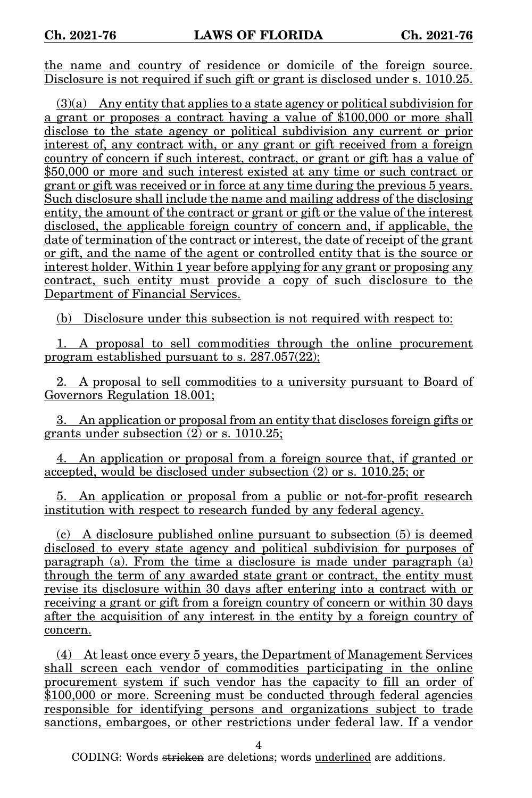the name and country of residence or domicile of the foreign source. Disclosure is not required if such gift or grant is disclosed under s. 1010.25.

(3)(a) Any entity that applies to a state agency or political subdivision for a grant or proposes a contract having a value of \$100,000 or more shall disclose to the state agency or political subdivision any current or prior interest of, any contract with, or any grant or gift received from a foreign country of concern if such interest, contract, or grant or gift has a value of \$50,000 or more and such interest existed at any time or such contract or grant or gift was received or in force at any time during the previous 5 years. Such disclosure shall include the name and mailing address of the disclosing entity, the amount of the contract or grant or gift or the value of the interest disclosed, the applicable foreign country of concern and, if applicable, the date of termination of the contract or interest, the date of receipt of the grant or gift, and the name of the agent or controlled entity that is the source or interest holder. Within 1 year before applying for any grant or proposing any contract, such entity must provide a copy of such disclosure to the Department of Financial Services.

(b) Disclosure under this subsection is not required with respect to:

1. A proposal to sell commodities through the online procurement program established pursuant to s. 287.057(22);

2. A proposal to sell commodities to a university pursuant to Board of Governors Regulation 18.001;

3. An application or proposal from an entity that discloses foreign gifts or grants under subsection  $(2)$  or s. 1010.25:

4. An application or proposal from a foreign source that, if granted or accepted, would be disclosed under subsection (2) or s. 1010.25; or

5. An application or proposal from a public or not-for-profit research institution with respect to research funded by any federal agency.

(c) A disclosure published online pursuant to subsection (5) is deemed disclosed to every state agency and political subdivision for purposes of paragraph (a). From the time a disclosure is made under paragraph (a) through the term of any awarded state grant or contract, the entity must revise its disclosure within 30 days after entering into a contract with or receiving a grant or gift from a foreign country of concern or within 30 days after the acquisition of any interest in the entity by a foreign country of concern.

(4) At least once every 5 years, the Department of Management Services shall screen each vendor of commodities participating in the online procurement system if such vendor has the capacity to fill an order of \$100,000 or more. Screening must be conducted through federal agencies responsible for identifying persons and organizations subject to trade sanctions, embargoes, or other restrictions under federal law. If a vendor

4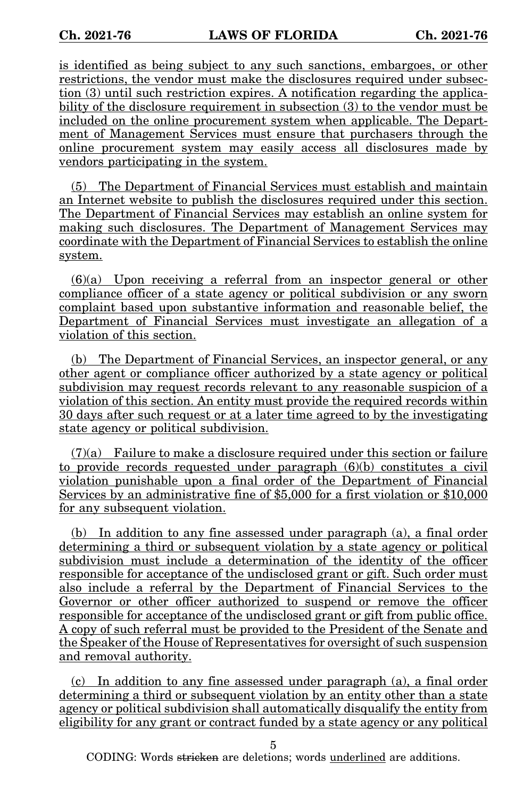is identified as being subject to any such sanctions, embargoes, or other restrictions, the vendor must make the disclosures required under subsection (3) until such restriction expires. A notification regarding the applicability of the disclosure requirement in subsection (3) to the vendor must be included on the online procurement system when applicable. The Department of Management Services must ensure that purchasers through the online procurement system may easily access all disclosures made by vendors participating in the system.

(5) The Department of Financial Services must establish and maintain an Internet website to publish the disclosures required under this section. The Department of Financial Services may establish an online system for making such disclosures. The Department of Management Services may coordinate with the Department of Financial Services to establish the online system.

 $(6)(a)$  Upon receiving a referral from an inspector general or other compliance officer of a state agency or political subdivision or any sworn complaint based upon substantive information and reasonable belief, the Department of Financial Services must investigate an allegation of a violation of this section.

(b) The Department of Financial Services, an inspector general, or any other agent or compliance officer authorized by a state agency or political subdivision may request records relevant to any reasonable suspicion of a violation of this section. An entity must provide the required records within 30 days after such request or at a later time agreed to by the investigating state agency or political subdivision.

 $(7)(a)$  Failure to make a disclosure required under this section or failure to provide records requested under paragraph (6)(b) constitutes a civil violation punishable upon a final order of the Department of Financial Services by an administrative fine of \$5,000 for a first violation or \$10,000 for any subsequent violation.

(b) In addition to any fine assessed under paragraph (a), a final order determining a third or subsequent violation by a state agency or political subdivision must include a determination of the identity of the officer responsible for acceptance of the undisclosed grant or gift. Such order must also include a referral by the Department of Financial Services to the Governor or other officer authorized to suspend or remove the officer responsible for acceptance of the undisclosed grant or gift from public office. A copy of such referral must be provided to the President of the Senate and the Speaker of the House of Representatives for oversight of such suspension and removal authority.

(c) In addition to any fine assessed under paragraph (a), a final order determining a third or subsequent violation by an entity other than a state agency or political subdivision shall automatically disqualify the entity from eligibility for any grant or contract funded by a state agency or any political

5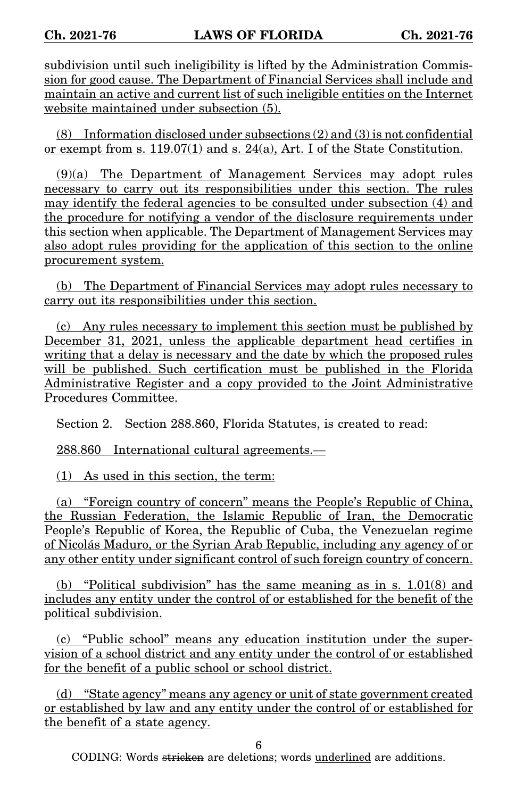subdivision until such ineligibility is lifted by the Administration Commission for good cause. The Department of Financial Services shall include and maintain an active and current list of such ineligible entities on the Internet website maintained under subsection (5).

(8) Information disclosed under subsections (2) and (3) is not confidential or exempt from s. 119.07(1) and s. 24(a), Art. I of the State Constitution.

(9)(a) The Department of Management Services may adopt rules necessary to carry out its responsibilities under this section. The rules may identify the federal agencies to be consulted under subsection (4) and the procedure for notifying a vendor of the disclosure requirements under this section when applicable. The Department of Management Services may also adopt rules providing for the application of this section to the online procurement system.

(b) The Department of Financial Services may adopt rules necessary to carry out its responsibilities under this section.

(c) Any rules necessary to implement this section must be published by December 31, 2021, unless the applicable department head certifies in writing that a delay is necessary and the date by which the proposed rules will be published. Such certification must be published in the Florida Administrative Register and a copy provided to the Joint Administrative Procedures Committee.

Section 2. Section 288.860, Florida Statutes, is created to read:

288.860 International cultural agreements.—

(1) As used in this section, the term:

(a) "Foreign country of concern" means the People's Republic of China, the Russian Federation, the Islamic Republic of Iran, the Democratic People's Republic of Korea, the Republic of Cuba, the Venezuelan regime of Nicolás Maduro, or the Syrian Arab Republic, including any agency of or any other entity under significant control of such foreign country of concern.

(b) "Political subdivision" has the same meaning as in s. 1.01(8) and includes any entity under the control of or established for the benefit of the political subdivision.

(c) "Public school" means any education institution under the supervision of a school district and any entity under the control of or established for the benefit of a public school or school district.

(d) "State agency" means any agency or unit of state government created or established by law and any entity under the control of or established for the benefit of a state agency.

6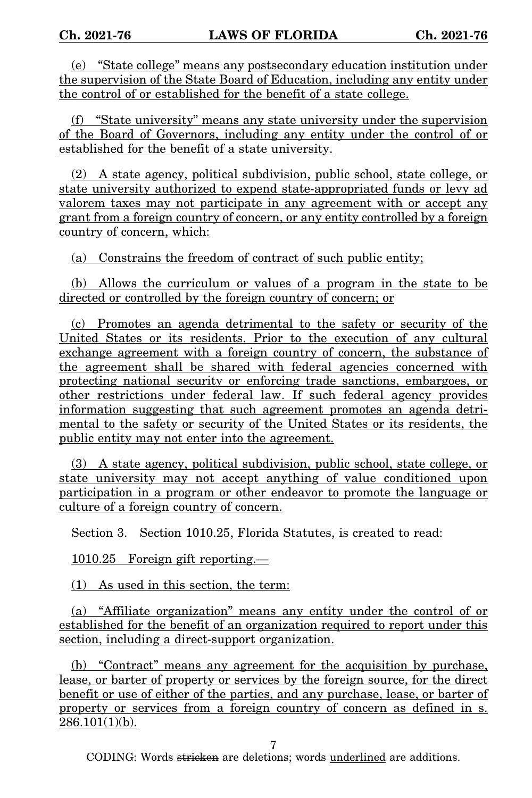(e) "State college" means any postsecondary education institution under the supervision of the State Board of Education, including any entity under the control of or established for the benefit of a state college.

(f) "State university" means any state university under the supervision of the Board of Governors, including any entity under the control of or established for the benefit of a state university.

(2) A state agency, political subdivision, public school, state college, or state university authorized to expend state-appropriated funds or levy ad valorem taxes may not participate in any agreement with or accept any grant from a foreign country of concern, or any entity controlled by a foreign country of concern, which:

(a) Constrains the freedom of contract of such public entity;

(b) Allows the curriculum or values of a program in the state to be directed or controlled by the foreign country of concern; or

(c) Promotes an agenda detrimental to the safety or security of the United States or its residents. Prior to the execution of any cultural exchange agreement with a foreign country of concern, the substance of the agreement shall be shared with federal agencies concerned with protecting national security or enforcing trade sanctions, embargoes, or other restrictions under federal law. If such federal agency provides information suggesting that such agreement promotes an agenda detrimental to the safety or security of the United States or its residents, the public entity may not enter into the agreement.

(3) A state agency, political subdivision, public school, state college, or state university may not accept anything of value conditioned upon participation in a program or other endeavor to promote the language or culture of a foreign country of concern.

Section 3. Section 1010.25, Florida Statutes, is created to read:

1010.25 Foreign gift reporting.—

(1) As used in this section, the term:

(a) "Affiliate organization" means any entity under the control of or established for the benefit of an organization required to report under this section, including a direct-support organization.

(b) "Contract" means any agreement for the acquisition by purchase, lease, or barter of property or services by the foreign source, for the direct benefit or use of either of the parties, and any purchase, lease, or barter of property or services from a foreign country of concern as defined in s.  $286.101(1)(b)$ .

7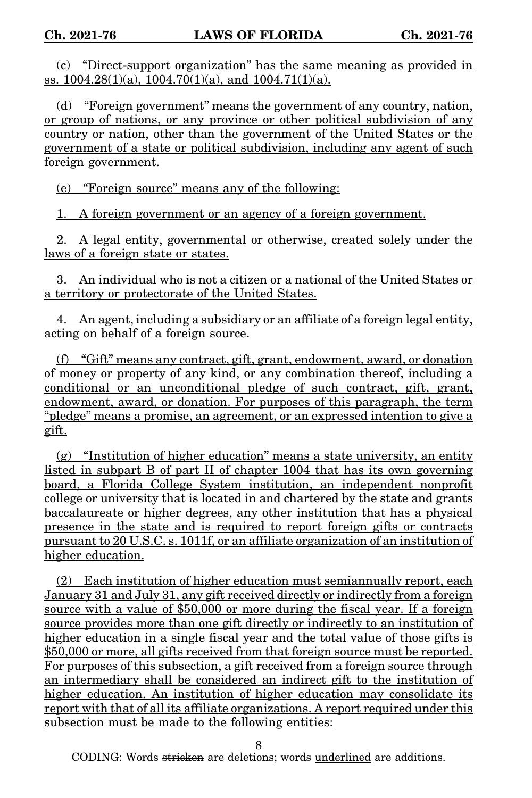(c) "Direct-support organization" has the same meaning as provided in ss.  $1004.28(1)(a)$ ,  $1004.70(1)(a)$ , and  $1004.71(1)(a)$ .

(d) "Foreign government" means the government of any country, nation, or group of nations, or any province or other political subdivision of any country or nation, other than the government of the United States or the government of a state or political subdivision, including any agent of such foreign government.

(e) "Foreign source" means any of the following:

1. A foreign government or an agency of a foreign government.

2. A legal entity, governmental or otherwise, created solely under the laws of a foreign state or states.

3. An individual who is not a citizen or a national of the United States or a territory or protectorate of the United States.

4. An agent, including a subsidiary or an affiliate of a foreign legal entity, acting on behalf of a foreign source.

(f) "Gift" means any contract, gift, grant, endowment, award, or donation of money or property of any kind, or any combination thereof, including a conditional or an unconditional pledge of such contract, gift, grant, endowment, award, or donation. For purposes of this paragraph, the term "pledge" means a promise, an agreement, or an expressed intention to give a gift.

(g) "Institution of higher education" means a state university, an entity listed in subpart B of part II of chapter 1004 that has its own governing board, a Florida College System institution, an independent nonprofit college or university that is located in and chartered by the state and grants baccalaureate or higher degrees, any other institution that has a physical presence in the state and is required to report foreign gifts or contracts pursuant to 20 U.S.C. s. 1011f, or an affiliate organization of an institution of higher education.

(2) Each institution of higher education must semiannually report, each January 31 and July 31, any gift received directly or indirectly from a foreign source with a value of \$50,000 or more during the fiscal year. If a foreign source provides more than one gift directly or indirectly to an institution of higher education in a single fiscal year and the total value of those gifts is \$50,000 or more, all gifts received from that foreign source must be reported. For purposes of this subsection, a gift received from a foreign source through an intermediary shall be considered an indirect gift to the institution of higher education. An institution of higher education may consolidate its report with that of all its affiliate organizations. A report required under this subsection must be made to the following entities:

8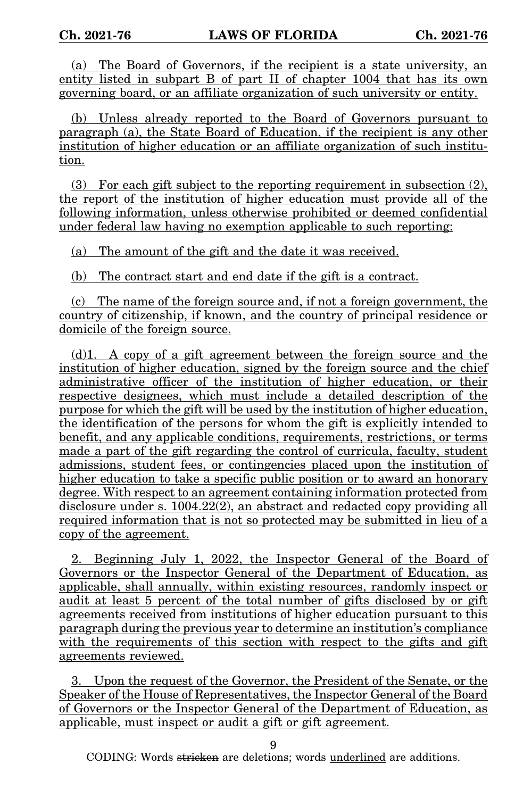(a) The Board of Governors, if the recipient is a state university, an entity listed in subpart B of part II of chapter 1004 that has its own governing board, or an affiliate organization of such university or entity.

(b) Unless already reported to the Board of Governors pursuant to paragraph (a), the State Board of Education, if the recipient is any other institution of higher education or an affiliate organization of such institution.

(3) For each gift subject to the reporting requirement in subsection (2), the report of the institution of higher education must provide all of the following information, unless otherwise prohibited or deemed confidential under federal law having no exemption applicable to such reporting:

(a) The amount of the gift and the date it was received.

(b) The contract start and end date if the gift is a contract.

(c) The name of the foreign source and, if not a foreign government, the country of citizenship, if known, and the country of principal residence or domicile of the foreign source.

(d)1. A copy of a gift agreement between the foreign source and the institution of higher education, signed by the foreign source and the chief administrative officer of the institution of higher education, or their respective designees, which must include a detailed description of the purpose for which the gift will be used by the institution of higher education, the identification of the persons for whom the gift is explicitly intended to benefit, and any applicable conditions, requirements, restrictions, or terms made a part of the gift regarding the control of curricula, faculty, student admissions, student fees, or contingencies placed upon the institution of higher education to take a specific public position or to award an honorary degree. With respect to an agreement containing information protected from disclosure under s. 1004.22(2), an abstract and redacted copy providing all required information that is not so protected may be submitted in lieu of a copy of the agreement.

2. Beginning July 1, 2022, the Inspector General of the Board of Governors or the Inspector General of the Department of Education, as applicable, shall annually, within existing resources, randomly inspect or audit at least 5 percent of the total number of gifts disclosed by or gift agreements received from institutions of higher education pursuant to this paragraph during the previous year to determine an institution's compliance with the requirements of this section with respect to the gifts and gift agreements reviewed.

3. Upon the request of the Governor, the President of the Senate, or the Speaker of the House of Representatives, the Inspector General of the Board of Governors or the Inspector General of the Department of Education, as applicable, must inspect or audit a gift or gift agreement.

9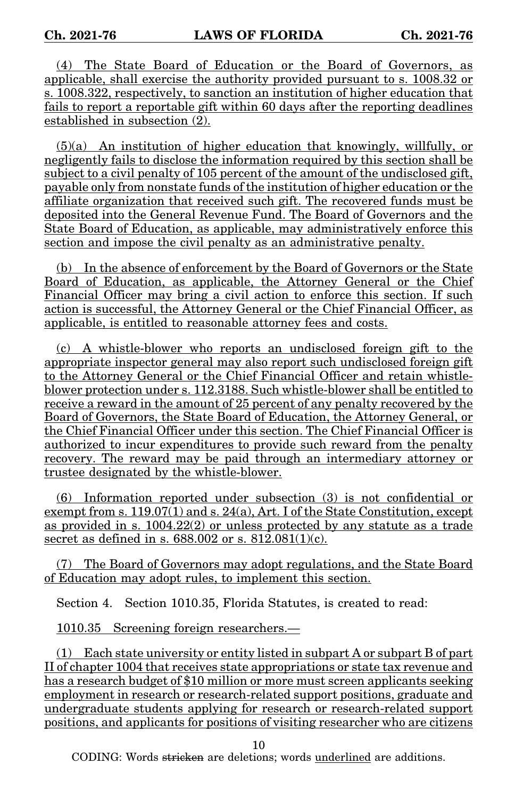(4) The State Board of Education or the Board of Governors, as applicable, shall exercise the authority provided pursuant to s. 1008.32 or s. 1008.322, respectively, to sanction an institution of higher education that fails to report a reportable gift within 60 days after the reporting deadlines established in subsection (2).

(5)(a) An institution of higher education that knowingly, willfully, or negligently fails to disclose the information required by this section shall be subject to a civil penalty of 105 percent of the amount of the undisclosed gift, payable only from nonstate funds of the institution of higher education or the affiliate organization that received such gift. The recovered funds must be deposited into the General Revenue Fund. The Board of Governors and the State Board of Education, as applicable, may administratively enforce this section and impose the civil penalty as an administrative penalty.

(b) In the absence of enforcement by the Board of Governors or the State Board of Education, as applicable, the Attorney General or the Chief Financial Officer may bring a civil action to enforce this section. If such action is successful, the Attorney General or the Chief Financial Officer, as applicable, is entitled to reasonable attorney fees and costs.

(c) A whistle-blower who reports an undisclosed foreign gift to the appropriate inspector general may also report such undisclosed foreign gift to the Attorney General or the Chief Financial Officer and retain whistleblower protection under s. 112.3188. Such whistle-blower shall be entitled to receive a reward in the amount of 25 percent of any penalty recovered by the Board of Governors, the State Board of Education, the Attorney General, or the Chief Financial Officer under this section. The Chief Financial Officer is authorized to incur expenditures to provide such reward from the penalty recovery. The reward may be paid through an intermediary attorney or trustee designated by the whistle-blower.

(6) Information reported under subsection (3) is not confidential or exempt from s. 119.07(1) and s. 24(a), Art. I of the State Constitution, except as provided in s. 1004.22(2) or unless protected by any statute as a trade secret as defined in s. 688.002 or s. 812.081(1)(c).

(7) The Board of Governors may adopt regulations, and the State Board of Education may adopt rules, to implement this section.

Section 4. Section 1010.35, Florida Statutes, is created to read:

1010.35 Screening foreign researchers.—

(1) Each state university or entity listed in subpart A or subpart B of part II of chapter 1004 that receives state appropriations or state tax revenue and has a research budget of \$10 million or more must screen applicants seeking employment in research or research-related support positions, graduate and undergraduate students applying for research or research-related support positions, and applicants for positions of visiting researcher who are citizens

10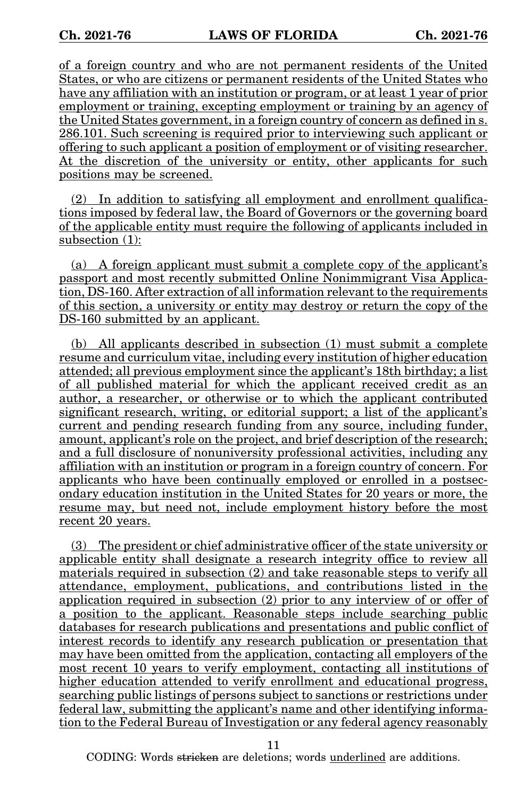of a foreign country and who are not permanent residents of the United States, or who are citizens or permanent residents of the United States who have any affiliation with an institution or program, or at least 1 year of prior employment or training, excepting employment or training by an agency of the United States government, in a foreign country of concern as defined in s. 286.101. Such screening is required prior to interviewing such applicant or offering to such applicant a position of employment or of visiting researcher. At the discretion of the university or entity, other applicants for such positions may be screened.

(2) In addition to satisfying all employment and enrollment qualifications imposed by federal law, the Board of Governors or the governing board of the applicable entity must require the following of applicants included in subsection (1):

(a) A foreign applicant must submit a complete copy of the applicant's passport and most recently submitted Online Nonimmigrant Visa Application, DS-160. After extraction of all information relevant to the requirements of this section, a university or entity may destroy or return the copy of the DS-160 submitted by an applicant.

(b) All applicants described in subsection (1) must submit a complete resume and curriculum vitae, including every institution of higher education attended; all previous employment since the applicant's 18th birthday; a list of all published material for which the applicant received credit as an author, a researcher, or otherwise or to which the applicant contributed significant research, writing, or editorial support; a list of the applicant's current and pending research funding from any source, including funder, amount, applicant's role on the project, and brief description of the research; and a full disclosure of nonuniversity professional activities, including any affiliation with an institution or program in a foreign country of concern. For applicants who have been continually employed or enrolled in a postsecondary education institution in the United States for 20 years or more, the resume may, but need not, include employment history before the most recent 20 years.

(3) The president or chief administrative officer of the state university or applicable entity shall designate a research integrity office to review all materials required in subsection (2) and take reasonable steps to verify all attendance, employment, publications, and contributions listed in the application required in subsection (2) prior to any interview of or offer of a position to the applicant. Reasonable steps include searching public databases for research publications and presentations and public conflict of interest records to identify any research publication or presentation that may have been omitted from the application, contacting all employers of the most recent 10 years to verify employment, contacting all institutions of higher education attended to verify enrollment and educational progress, searching public listings of persons subject to sanctions or restrictions under federal law, submitting the applicant's name and other identifying information to the Federal Bureau of Investigation or any federal agency reasonably

11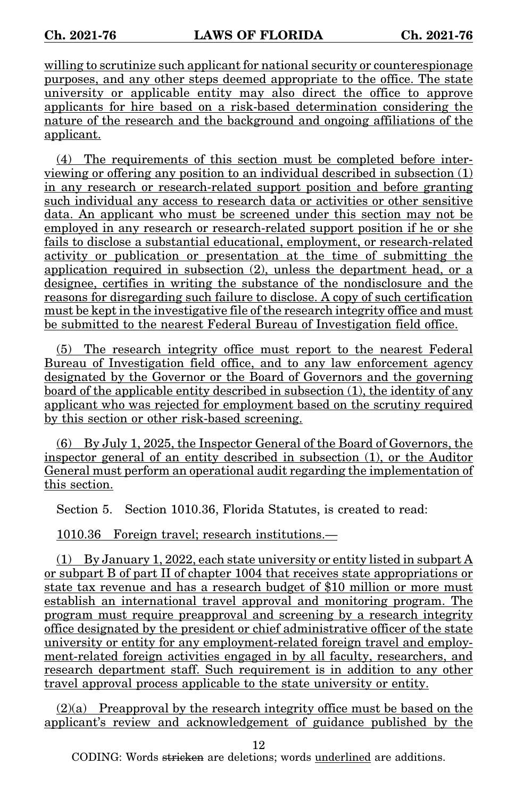willing to scrutinize such applicant for national security or counterespionage purposes, and any other steps deemed appropriate to the office. The state university or applicable entity may also direct the office to approve applicants for hire based on a risk-based determination considering the nature of the research and the background and ongoing affiliations of the applicant.

(4) The requirements of this section must be completed before interviewing or offering any position to an individual described in subsection (1) in any research or research-related support position and before granting such individual any access to research data or activities or other sensitive data. An applicant who must be screened under this section may not be employed in any research or research-related support position if he or she fails to disclose a substantial educational, employment, or research-related activity or publication or presentation at the time of submitting the application required in subsection (2), unless the department head, or a designee, certifies in writing the substance of the nondisclosure and the reasons for disregarding such failure to disclose. A copy of such certification must be kept in the investigative file of the research integrity office and must be submitted to the nearest Federal Bureau of Investigation field office.

(5) The research integrity office must report to the nearest Federal Bureau of Investigation field office, and to any law enforcement agency designated by the Governor or the Board of Governors and the governing board of the applicable entity described in subsection (1), the identity of any applicant who was rejected for employment based on the scrutiny required by this section or other risk-based screening.

(6) By July 1, 2025, the Inspector General of the Board of Governors, the inspector general of an entity described in subsection (1), or the Auditor General must perform an operational audit regarding the implementation of this section.

Section 5. Section 1010.36, Florida Statutes, is created to read:

1010.36 Foreign travel; research institutions.—

 $(1)$  By January 1, 2022, each state university or entity listed in subpart A or subpart B of part II of chapter 1004 that receives state appropriations or state tax revenue and has a research budget of \$10 million or more must establish an international travel approval and monitoring program. The program must require preapproval and screening by a research integrity office designated by the president or chief administrative officer of the state university or entity for any employment-related foreign travel and employment-related foreign activities engaged in by all faculty, researchers, and research department staff. Such requirement is in addition to any other travel approval process applicable to the state university or entity.

(2)(a) Preapproval by the research integrity office must be based on the applicant's review and acknowledgement of guidance published by the

12